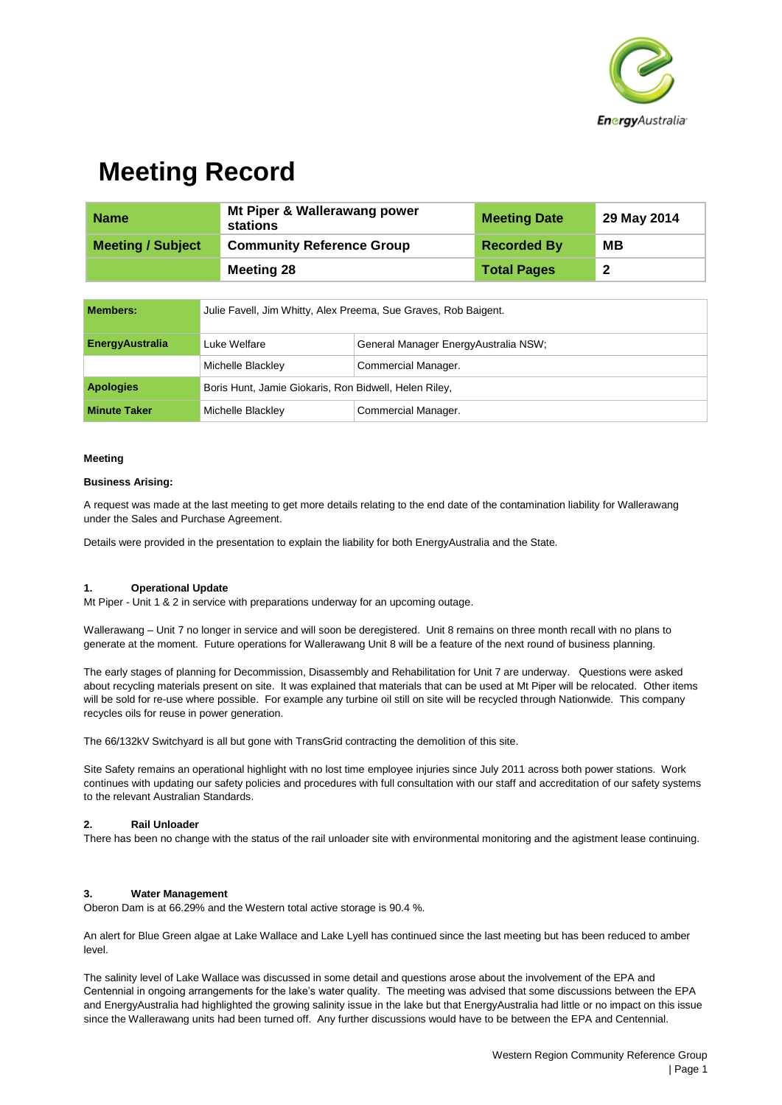

## **Meeting Record**

| <b>Name</b>              | Mt Piper & Wallerawang power<br>stations | <b>Meeting Date</b> | 29 May 2014 |
|--------------------------|------------------------------------------|---------------------|-------------|
| <b>Meeting / Subject</b> | <b>Community Reference Group</b>         | <b>Recorded By</b>  | MВ          |
|                          | <b>Meeting 28</b>                        | <b>Total Pages</b>  | -2          |

| Members:               | Julie Favell, Jim Whitty, Alex Preema, Sue Graves, Rob Baigent. |                                       |
|------------------------|-----------------------------------------------------------------|---------------------------------------|
| <b>EnergyAustralia</b> | Luke Welfare                                                    | General Manager Energy Australia NSW; |
|                        | Michelle Blackley                                               | Commercial Manager.                   |
| <b>Apologies</b>       | Boris Hunt, Jamie Giokaris, Ron Bidwell, Helen Riley,           |                                       |
| <b>Minute Taker</b>    | Michelle Blackley                                               | Commercial Manager.                   |

#### **Meeting**

#### **Business Arising:**

A request was made at the last meeting to get more details relating to the end date of the contamination liability for Wallerawang under the Sales and Purchase Agreement.

Details were provided in the presentation to explain the liability for both EnergyAustralia and the State.

#### **1. Operational Update**

Mt Piper - Unit 1 & 2 in service with preparations underway for an upcoming outage.

Wallerawang – Unit 7 no longer in service and will soon be deregistered. Unit 8 remains on three month recall with no plans to generate at the moment. Future operations for Wallerawang Unit 8 will be a feature of the next round of business planning.

The early stages of planning for Decommission, Disassembly and Rehabilitation for Unit 7 are underway. Questions were asked about recycling materials present on site. It was explained that materials that can be used at Mt Piper will be relocated. Other items will be sold for re-use where possible. For example any turbine oil still on site will be recycled through Nationwide. This company recycles oils for reuse in power generation.

The 66/132kV Switchyard is all but gone with TransGrid contracting the demolition of this site.

Site Safety remains an operational highlight with no lost time employee injuries since July 2011 across both power stations. Work continues with updating our safety policies and procedures with full consultation with our staff and accreditation of our safety systems to the relevant Australian Standards.

#### **2. Rail Unloader**

There has been no change with the status of the rail unloader site with environmental monitoring and the agistment lease continuing.

#### **3. Water Management**

Oberon Dam is at 66.29% and the Western total active storage is 90.4 %.

An alert for Blue Green algae at Lake Wallace and Lake Lyell has continued since the last meeting but has been reduced to amber level.

The salinity level of Lake Wallace was discussed in some detail and questions arose about the involvement of the EPA and Centennial in ongoing arrangements for the lake's water quality. The meeting was advised that some discussions between the EPA and EnergyAustralia had highlighted the growing salinity issue in the lake but that EnergyAustralia had little or no impact on this issue since the Wallerawang units had been turned off. Any further discussions would have to be between the EPA and Centennial.